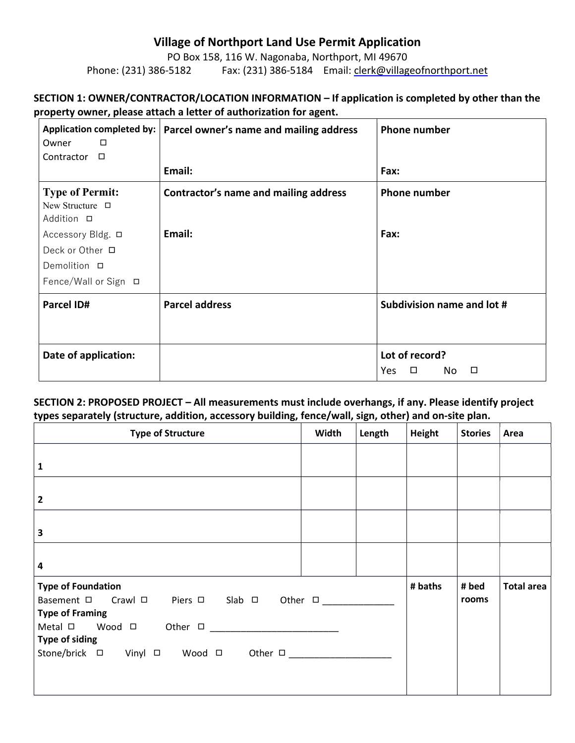# Village of Northport Land Use Permit Application

PO Box 158, 116 W. Nagonaba, Northport, MI 49670 Phone: (231) 386-5182 Fax: (231) 386-5184 Email: clerk@villageofnorthport.net

## SECTION 1: OWNER/CONTRACTOR/LOCATION INFORMATION – If application is completed by other than the property owner, please attach a letter of authorization for agent.

| $\Box$<br>Owner                                                                     | Application completed by:   Parcel owner's name and mailing address | <b>Phone number</b>                             |
|-------------------------------------------------------------------------------------|---------------------------------------------------------------------|-------------------------------------------------|
| $\Box$<br>Contractor                                                                |                                                                     |                                                 |
|                                                                                     | Email:                                                              | Fax:                                            |
| <b>Type of Permit:</b><br>New Structure □<br>Addition □                             | Contractor's name and mailing address                               | <b>Phone number</b>                             |
| Accessory Bldg. □<br>Deck or Other □<br>Demolition <b>□</b><br>Fence/Wall or Sign □ | Email:                                                              | Fax:                                            |
| Parcel ID#                                                                          | <b>Parcel address</b>                                               | Subdivision name and lot #                      |
| Date of application:                                                                |                                                                     | Lot of record?<br>$\Box$<br>No<br>$\Box$<br>Yes |

### SECTION 2: PROPOSED PROJECT – All measurements must include overhangs, if any. Please identify project types separately (structure, addition, accessory building, fence/wall, sign, other) and on-site plan.

| <b>Type of Structure</b>                                                                                                                              | Width | Length | Height<br><b>Stories</b><br>Area |                |                   |
|-------------------------------------------------------------------------------------------------------------------------------------------------------|-------|--------|----------------------------------|----------------|-------------------|
| $\mathbf{1}$                                                                                                                                          |       |        |                                  |                |                   |
| $\overline{\mathbf{2}}$                                                                                                                               |       |        |                                  |                |                   |
| $\overline{\mathbf{3}}$                                                                                                                               |       |        |                                  |                |                   |
| $\overline{\mathbf{4}}$                                                                                                                               |       |        |                                  |                |                   |
| <b>Type of Foundation</b><br>Piers $\Box$ Slab $\Box$ Other $\Box$<br>Crawl □<br>Basement □<br>Type of Framing<br>Wood $\Box$ Other $\Box$<br>Metal □ |       |        | # baths                          | # bed<br>rooms | <b>Total area</b> |
| Type of siding<br>Stone/brick □ Vinyl □ Wood □<br>Other $\square$                                                                                     |       |        |                                  |                |                   |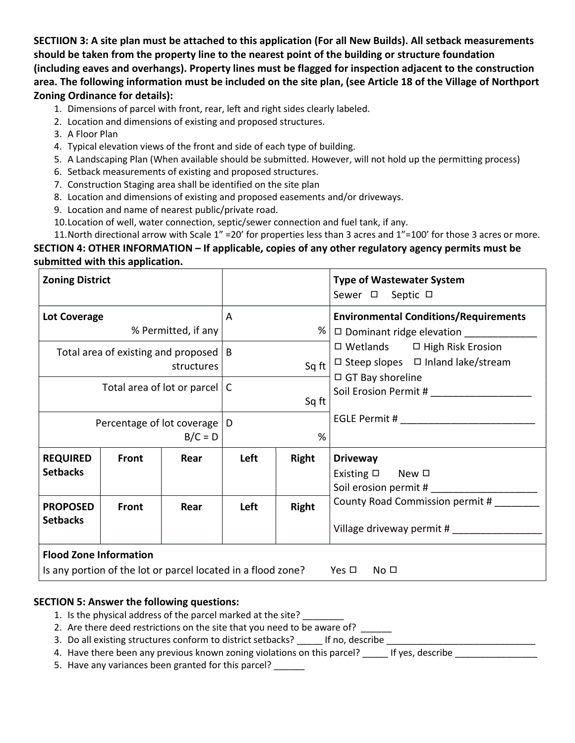SECTIION 3: A site plan must be attached to this application (For all New Builds). All setback measurements should be taken from the property line to the nearest point of the building or structure foundation (including eaves and overhangs). Property lines must be flagged for inspection adjacent to the construction area. The following information must be included on the site plan, (see Article 18 of the Village of Northport Zoning Ordinance for details):

- 1. Dimensions of parcel with front, rear, left and right sides clearly labeled.
- 2. Location and dimensions of existing and proposed structures.
- 3. A Floor Plan
- 4. Typical elevation views of the front and side of each type of building.
- 5. A Landscaping Plan (When available should be submitted. However, will not hold up the permitting process)
- 6. Setback measurements of existing and proposed structures.
- 7. Construction Staging area shall be identified on the site plan
- 8. Location and dimensions of existing and proposed easements and/or driveways.
- 9. Location and name of nearest public/private road.
- 10.Location of well, water connection, septic/sewer connection and fuel tank, if any.

11.North directional arrow with Scale 1" =20' for properties less than 3 acres and 1"=100' for those 3 acres or more. SECTION 4: OTHER INFORMATION – If applicable, copies of any other regulatory agency permits must be submitted with this application.

| <b>Zoning District</b>             |              |                                                         |      |              | <b>Type of Wastewater System</b><br>Sewer □ Septic □                                                                       |
|------------------------------------|--------------|---------------------------------------------------------|------|--------------|----------------------------------------------------------------------------------------------------------------------------|
| <b>Lot Coverage</b>                |              | % Permitted, if any                                     | A    | %            | <b>Environmental Conditions/Requirements</b><br>□ Dominant ridge elevation ____________                                    |
|                                    |              | Total area of existing and proposed $ B $<br>structures |      | Sq ft        | $\square$ Wetlands $\square$ High Risk Erosion<br>$\Box$ Steep slopes $\Box$ Inland lake/stream<br>$\Box$ GT Bay shoreline |
|                                    |              | Total area of lot or parcel $ C $                       |      | Sq ft        | Soil Erosion Permit #                                                                                                      |
|                                    |              | Percentage of lot coverage   D<br>$B/C = D$             |      | %            | EGLE Permit #                                                                                                              |
| <b>REQUIRED</b><br><b>Setbacks</b> | <b>Front</b> | Rear                                                    | Left | <b>Right</b> | <b>Driveway</b><br>Existing $\square$ New $\square$<br>Soil erosion permit #                                               |
| <b>PROPOSED</b><br><b>Setbacks</b> | Front        | Rear                                                    | Left | Right        | County Road Commission permit #<br>Village driveway permit #                                                               |

### SECTION 5: Answer the following questions:

- 1. Is the physical address of the parcel marked at the site?
- 2. Are there deed restrictions on the site that you need to be aware of? \_\_\_\_\_\_
- 3. Do all existing structures conform to district setbacks? If no, describe
- 4. Have there been any previous known zoning violations on this parcel? The lif yes, describe
- 5. Have any variances been granted for this parcel? \_\_\_\_\_\_